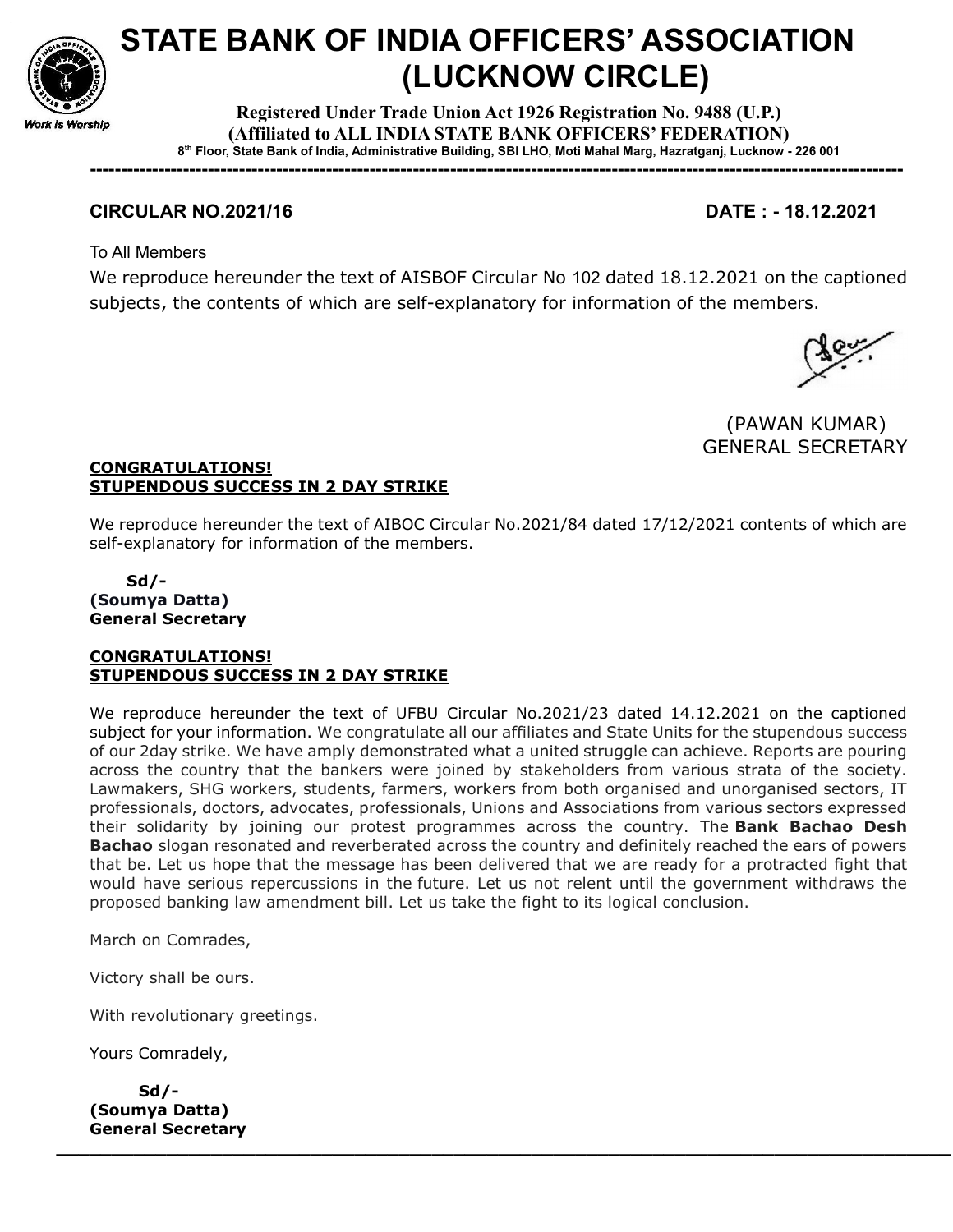

# STATE BANK OF INDIA OFFICERS' ASSOCIATION (LUCKNOW CIRCLE)

Registered Under Trade Union Act 1926 Registration No. 9488 (U.P.) (Affiliated to ALL INDIA STATE BANK OFFICERS' FEDERATION) 8 th Floor, State Bank of India, Administrative Building, SBI LHO, Moti Mahal Marg, Hazratganj, Lucknow - 226 001

-----------------------------------------------------------------------------------------------------------------------------------

# CIRCULAR NO.2021/16 DATE : - 18.12.2021

To All Members

We reproduce hereunder the text of AISBOF Circular No 102 dated 18.12.2021 on the captioned subjects, the contents of which are self-explanatory for information of the members.



(PAWAN KUMAR) GENERAL SECRETARY

## CONGRATULATIONS! STUPENDOUS SUCCESS IN 2 DAY STRIKE

We reproduce hereunder the text of AIBOC Circular No.2021/84 dated 17/12/2021 contents of which are self-explanatory for information of the members.

#### Sd/- (Soumya Datta) General Secretary

#### CONGRATULATIONS! STUPENDOUS SUCCESS IN 2 DAY STRIKE

We reproduce hereunder the text of UFBU Circular No.2021/23 dated 14.12.2021 on the captioned subject for your information. We congratulate all our affiliates and State Units for the stupendous success of our 2day strike. We have amply demonstrated what a united struggle can achieve. Reports are pouring across the country that the bankers were joined by stakeholders from various strata of the society. Lawmakers, SHG workers, students, farmers, workers from both organised and unorganised sectors, IT professionals, doctors, advocates, professionals, Unions and Associations from various sectors expressed their solidarity by joining our protest programmes across the country. The **Bank Bachao Desh Bachao** slogan resonated and reverberated across the country and definitely reached the ears of powers that be. Let us hope that the message has been delivered that we are ready for a protracted fight that would have serious repercussions in the future. Let us not relent until the government withdraws the proposed banking law amendment bill. Let us take the fight to its logical conclusion.

\_\_\_\_\_\_\_\_\_\_\_\_\_\_\_\_\_\_\_\_\_\_\_\_\_\_\_\_\_\_\_\_\_\_\_\_\_\_\_\_\_\_\_\_\_\_\_\_\_\_\_\_\_\_\_\_\_\_\_\_\_\_\_\_\_\_\_\_\_\_\_\_\_\_\_\_\_\_\_\_\_

March on Comrades,

Victory shall be ours.

With revolutionary greetings.

Yours Comradely,

 Sd/- (Soumya Datta) General Secretary